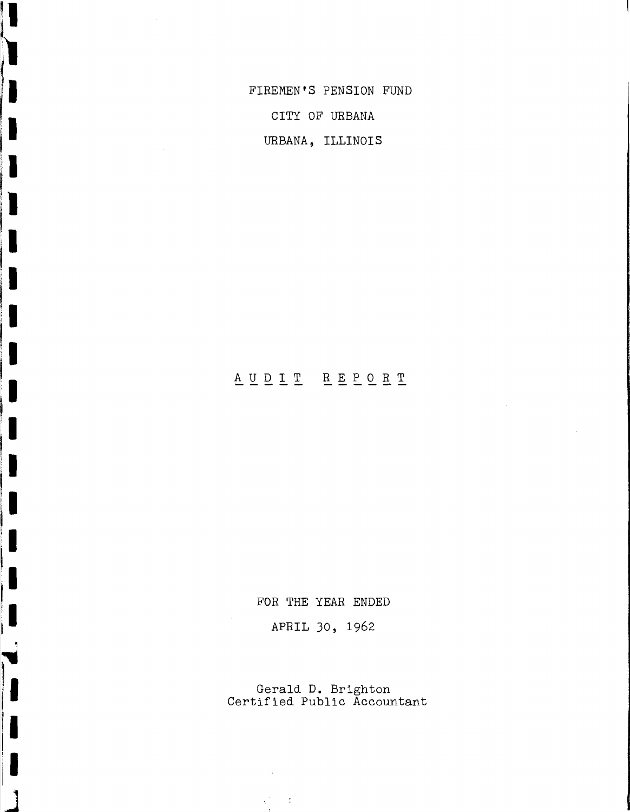FIREMEN'S PENSION FUND CITY OF URBANA URBANA, ILLINOIS

I

1

1

L

l

I

1

I

 $\mathbb{R}^2$ 

# A U D I T R E P O R T

FOR THE YEAR ENDED

APRIL 30, 1962

Gerald D. Brighton Certified Public Accountant

 $\sqrt{2}$  and  $\sqrt{2}$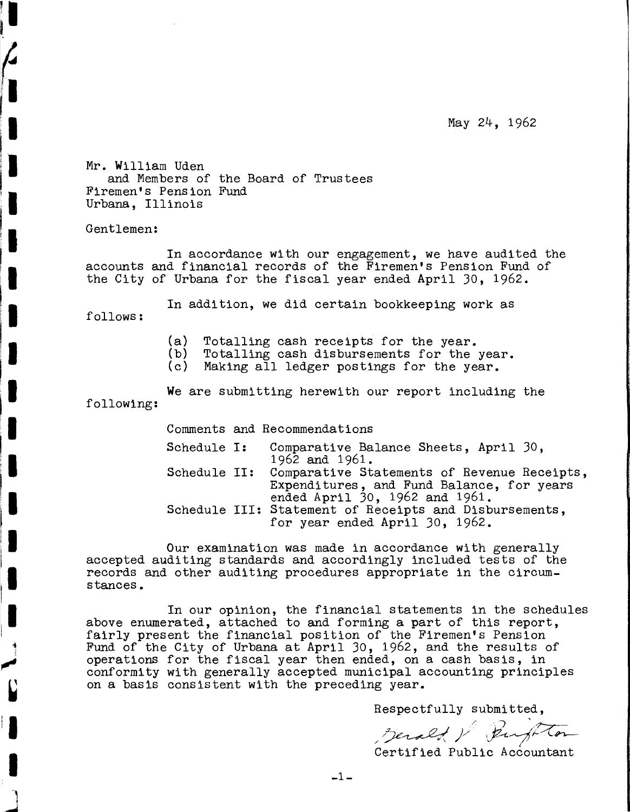May 24, 1962

Mr. William Uden and Members of the Board of Trustees Firemen's Pension Fund Urbana, Illinois

Gentlemen:

In accordance with our engagement, we have audited the accounts and financial records of the Firemen's Pension Fund of the City of Urbana for the fiscal year ended April 30, 1962.

In addition, we did certain bookkeeping work as

follows:

1

I

(a) Totalling cash receipts for the year.

- (b) Totalling cash disbursements for the year.<br>(c) Making all ledger postings for the year.
- Making all ledger postings for the year.

We are submitting herewith our report including the following:

Comments and Recommendations

| Schedule I:  | Comparative Balance Sheets, April 30,<br>1962 and 1961.                                                                    |
|--------------|----------------------------------------------------------------------------------------------------------------------------|
| Schedule II: | Comparative Statements of Revenue Receipts,<br>Expenditures, and Fund Balance, for years<br>ended April 30, 1962 and 1961. |
|              | Schedule III: Statement of Receipts and Disbursements,<br>for year ended April 30, 1962.                                   |

Our examination was made in accordance with generally accepted auditing standards and accordingly included tests of the records and other auditing procedures appropriate in the circumstances.

In our opinion, the financial statements in the schedules above enumerated, attached to and forming a part of this report, fairly present the financial position of the Firemen's Pension Fund of the City of Urbana at April 30, 1962, and the results of operations for the fiscal year then ended, on a cash basis, in conformity with generally accepted municipal accounting principles on a basis consistent with the preceding year.

Respectfully submitted,

Respectfully submitted,<br>*Jerald V Burghton*<br>Certified Public Accountant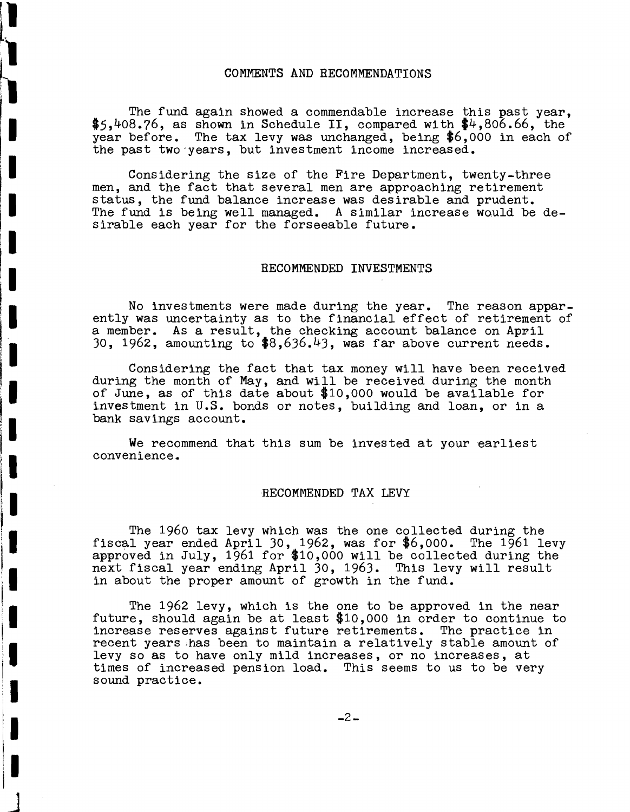#### COMMENTS AND RECOMMENDATIONS

The fund again showed <sup>a</sup> commendable increase this past year, \$5,408.76, as shown in Schedule II, compared with \$4,806.66, the year before. The tax levy was unchanged, being \$6,000 in each of the past two·years, but investment income increased.

Considering the size of the Fire Department, twenty-three men, and the fact that several men are approaching retirement status, the fund balance increase was desirable and prudent. The fund is being well managed. A similar increase would be desirable each year for the forseeable future.

#### RECOMMENDED INVESTMENTS

No investments were made during the year. The reason appar- ently was uncertainty as to the financial effect of retirement of a member. As a result, the checking account balance on Apvil 30, 1962, amounting to \$8,636.43, was far above current needs.

Considering the fact that tax money will have been received during the month of May, and will be received during the month of June, as of this date about \$10,000 would be available for investment in U.S. bonds or notes, building and loan, or in a bank savings account.

We recommend that this sum be invested at your earliest convenience.

#### RECOMMENDED TAX LEVY

The 1960 tax levy which was the one collected during the fiscal year ended April 30, 1962, was for  $$6,000$ . The 1961 levy approved in July, 1961 for \$10,000 will be collected during the next fiscal year ending April 30, 1963. This levy will result in about the proper amount of growth in the fund.

The 1962 levy, which is the one to be approved in the near future, should again be at least \$10,000 in order to continue to increase reserves against future retirements. The practice in recent years .has been to maintain a relatively stable amount of levy so as to have only mild increases, or no increases, at times of increased pension load. This seems to us to be very sound practice.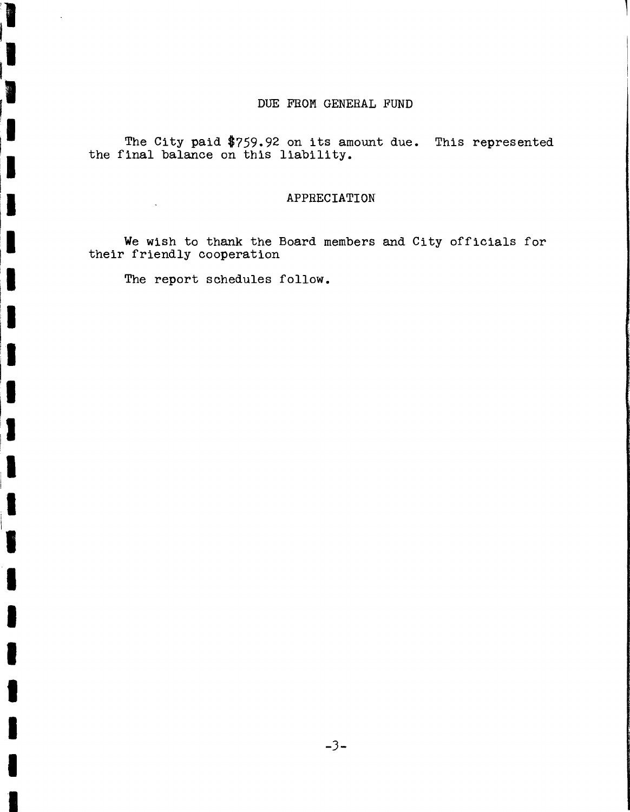### DUE FROM GENERAL FUND

The City paid \$759.92 on its amount due. This represented the final balance on this liability.

#### APPRECIATION

We wish to thank the Board members and City officials for their friendly cooperation

The report schedules follow.

 $\hat{\boldsymbol{\cdot} }$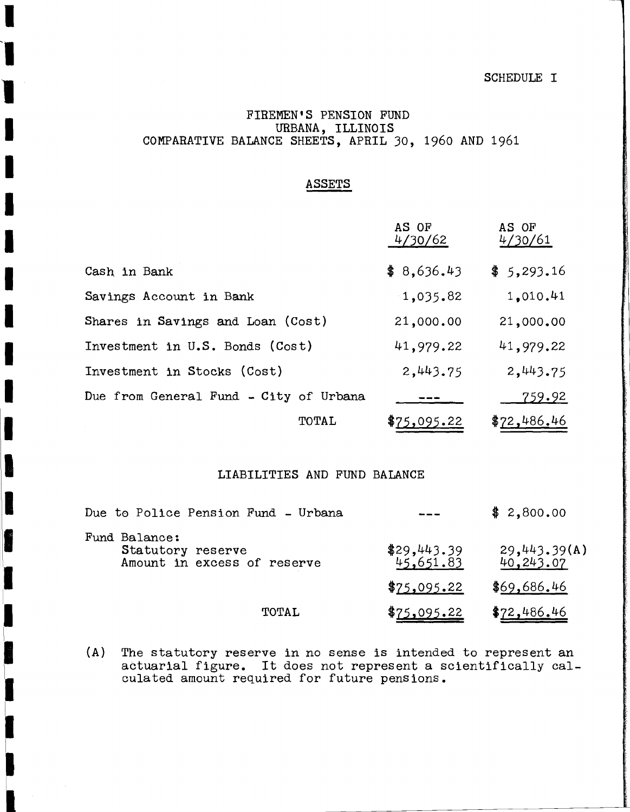#### SCHEDULE I

## FIREMEN'S PENSION FUND URBANA, ILLINOIS COMPARATIVE BALANCE SHEETS, APRIL 30, 1960 AND 1961

I

'I

I

I

I

I

I

I

I

I

I

I

I

I

I

II

I

B

**F** 

# ASSETS

|                                        | AS OF<br>4/30/62 | AS OF<br>4/30/61 |
|----------------------------------------|------------------|------------------|
| Cash in Bank                           | \$8,636.43       | \$5,293.16       |
| Savings Account in Bank                | 1,035.82         | 1,010.41         |
| Shares in Savings and Loan (Cost)      | 21,000.00        | 21,000.00        |
| Investment in U.S. Bonds (Cost)        | 41,979.22        | 41,979.22        |
| Investment in Stocks (Cost)            | 2,443.75         | 2,443.75         |
| Due from General Fund - City of Urbana |                  | <u>759.92</u>    |
| TOTAL                                  | \$75,095.22      | \$72,486.46      |

#### LIABILITIES AND FUND BALANCE

| Due to Police Pension Fund - Urbana                               |                          | \$2,800.00                |
|-------------------------------------------------------------------|--------------------------|---------------------------|
| Fund Balance:<br>Statutory reserve<br>Amount in excess of reserve | \$29,443.39<br>45,651.83 | 29,443.39(A)<br>40.243.07 |
|                                                                   | \$75,095.22              | \$69,686.46               |
| TOTAL                                                             | \$75,095.22              | \$72,486.46               |

(A) The statutory reserve in no sense is intended to represent an actuarial figure. It does not represent <sup>a</sup> scientifically calculated amount required for future pensions.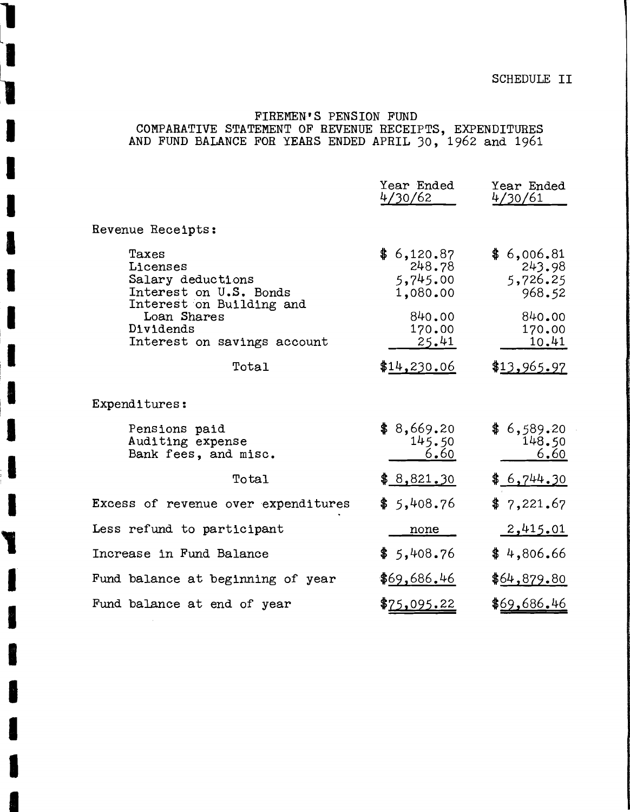# **SCHEDULE II**

# FIREMEN'S PENSION FUND COMPARATIVE STATEMENT OF REVENUE RECEIPTS, EXPENDITURES<br>AND FUND BALANCE FOR YEARS ENDED APRIL 30, 1962 and 1961

| 4/30/62                                                                                      | 4/30/61                                                                                    |
|----------------------------------------------------------------------------------------------|--------------------------------------------------------------------------------------------|
| Revenue Receipts:                                                                            |                                                                                            |
| Taxes<br>Licenses<br>Salary deductions<br>Interest on U.S. Bonds<br>Interest on Building and | \$6,120.87<br>\$6,006.81<br>248.78<br>243.98<br>5,745.00<br>5,726.25<br>1,080.00<br>968.52 |
| Loan Shares<br>Dividends<br>Interest on savings account                                      | 840.00<br>840.00<br>170.00<br>170.00<br><u>25.41</u><br>10.41                              |
| Total                                                                                        | \$13,965.97<br>\$14,230.06                                                                 |
| ${\tt Expanditures:}$                                                                        |                                                                                            |
| Pensions paid<br>Auditing expense<br>Bank fees, and misc.                                    | \$8,669.20<br>\$6,589.20<br>145.50<br>148.50<br>6.60<br>6.60                               |
| Total                                                                                        | \$6,744.30<br>\$8,821,30                                                                   |
| Excess of revenue over expenditures                                                          | \$5,408.76<br>\$7,221.67                                                                   |
| Less refund to participant                                                                   | 2,415.01<br>none                                                                           |
| Increase in Fund Balance                                                                     | \$5,408.76<br>\$4,806.66                                                                   |
| Fund balance at beginning of year                                                            | \$69,686.46<br>\$64,879.80                                                                 |
| Fund balance at end of year                                                                  | \$69,686.46<br>\$ <u>75,095.22</u>                                                         |